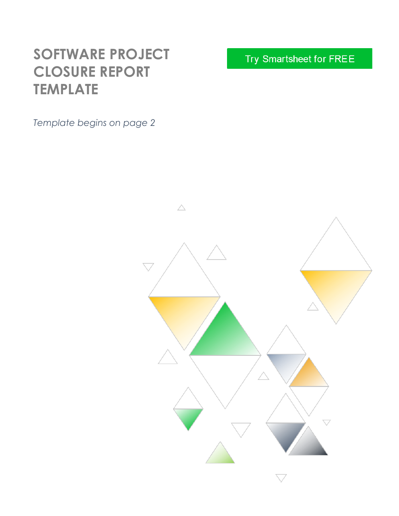# **SOFTWARE PROJECT CLOSURE REPORT TEMPLATE**

*Template begins on page 2*

Try Smartsheet for FREE

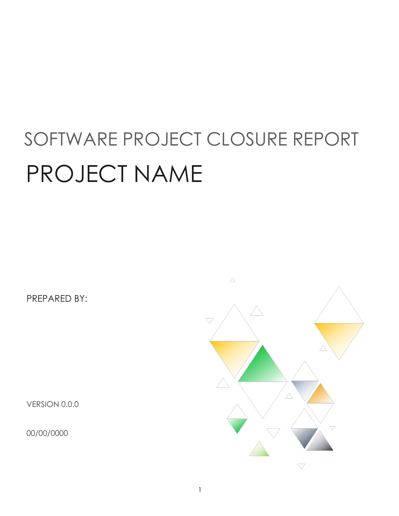# SOFTWARE PROJECT CLOSURE REPORT PROJECT NAME

PREPARED BY:

VERSION 0.0.0

00/00/0000

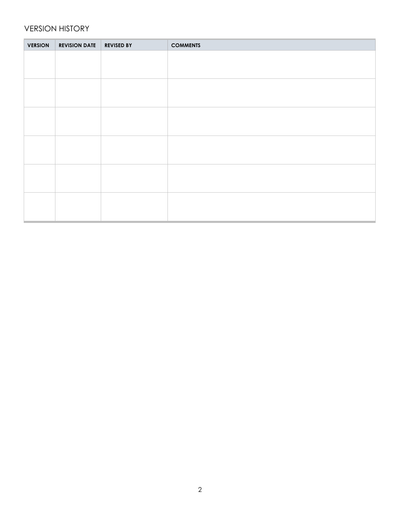#### VERSION HISTORY

| <b>VERSION</b> | <b>REVISION DATE</b> | <b>REVISED BY</b> | <b>COMMENTS</b> |
|----------------|----------------------|-------------------|-----------------|
|                |                      |                   |                 |
|                |                      |                   |                 |
|                |                      |                   |                 |
|                |                      |                   |                 |
|                |                      |                   |                 |
|                |                      |                   |                 |
|                |                      |                   |                 |
|                |                      |                   |                 |
|                |                      |                   |                 |
|                |                      |                   |                 |
|                |                      |                   |                 |
|                |                      |                   |                 |
|                |                      |                   |                 |
|                |                      |                   |                 |
|                |                      |                   |                 |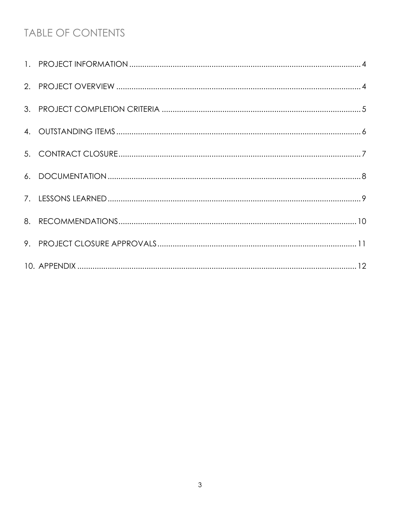## TABLE OF CONTENTS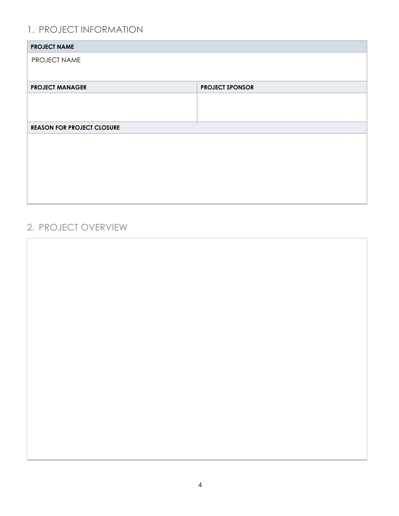#### 1. PROJECT INFORMATION

| <b>PROJECT NAME</b>               |                        |
|-----------------------------------|------------------------|
| PROJECT NAME                      |                        |
|                                   |                        |
| <b>PROJECT MANAGER</b>            | <b>PROJECT SPONSOR</b> |
|                                   |                        |
|                                   |                        |
| <b>REASON FOR PROJECT CLOSURE</b> |                        |
|                                   |                        |
|                                   |                        |
|                                   |                        |
|                                   |                        |
|                                   |                        |
|                                   |                        |

#### 2. PROJECT OVERVIEW

 $\overline{\Gamma}$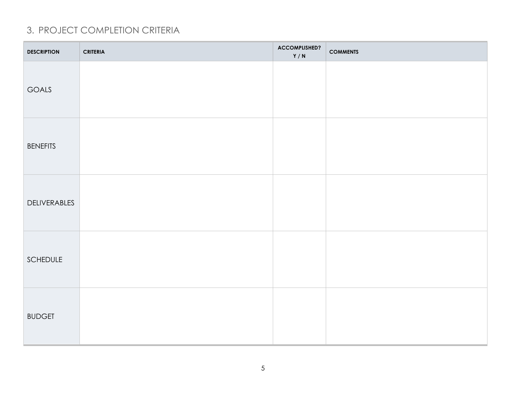#### 3. PROJECT COMPLETION CRITERIA

| <b>DESCRIPTION</b> | <b>CRITERIA</b> | ACCOMPLISHED?<br>Y/N | <b>COMMENTS</b> |
|--------------------|-----------------|----------------------|-----------------|
| GOALS              |                 |                      |                 |
| <b>BENEFITS</b>    |                 |                      |                 |
| DELIVERABLES       |                 |                      |                 |
| SCHEDULE           |                 |                      |                 |
| <b>BUDGET</b>      |                 |                      |                 |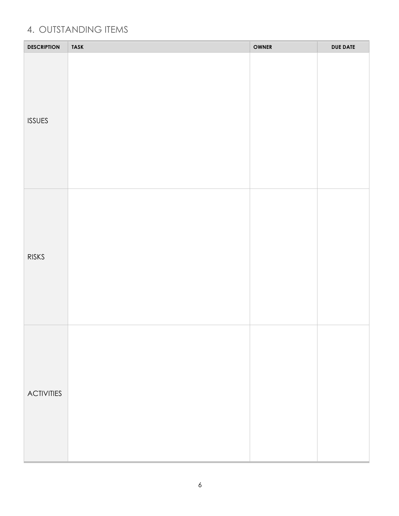#### 4. OUTSTANDING ITEMS

| <b>DESCRIPTION</b> | <b>TASK</b> | <b>OWNER</b> | <b>DUE DATE</b> |
|--------------------|-------------|--------------|-----------------|
| <b>ISSUES</b>      |             |              |                 |
| <b>RISKS</b>       |             |              |                 |
| <b>ACTIVITIES</b>  |             |              |                 |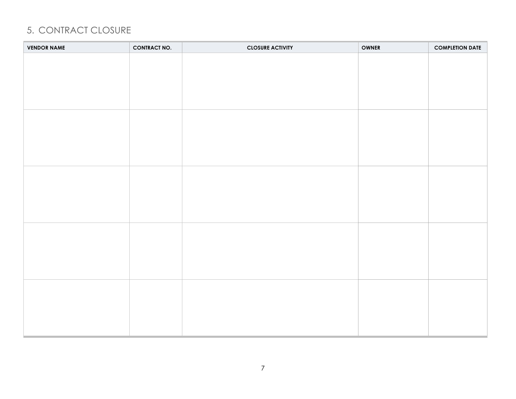#### 5. CONTRACT CLOSURE

| <b>VENDOR NAME</b> | <b>CONTRACT NO.</b> | <b>CLOSURE ACTIVITY</b> | <b>OWNER</b> | <b>COMPLETION DATE</b> |
|--------------------|---------------------|-------------------------|--------------|------------------------|
|                    |                     |                         |              |                        |
|                    |                     |                         |              |                        |
|                    |                     |                         |              |                        |
|                    |                     |                         |              |                        |
|                    |                     |                         |              |                        |
|                    |                     |                         |              |                        |
|                    |                     |                         |              |                        |
|                    |                     |                         |              |                        |
|                    |                     |                         |              |                        |
|                    |                     |                         |              |                        |
|                    |                     |                         |              |                        |
|                    |                     |                         |              |                        |
|                    |                     |                         |              |                        |
|                    |                     |                         |              |                        |
|                    |                     |                         |              |                        |
|                    |                     |                         |              |                        |
|                    |                     |                         |              |                        |
|                    |                     |                         |              |                        |
|                    |                     |                         |              |                        |
|                    |                     |                         |              |                        |
|                    |                     |                         |              |                        |
|                    |                     |                         |              |                        |
|                    |                     |                         |              |                        |
|                    |                     |                         |              |                        |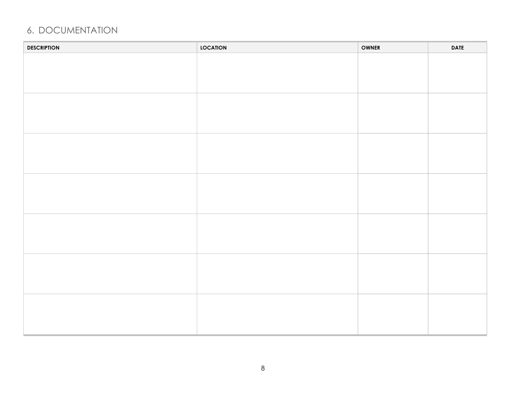#### 6. DOCUMENTATION

| <b>DESCRIPTION</b> | <b>LOCATION</b> | <b>OWNER</b> | <b>DATE</b> |
|--------------------|-----------------|--------------|-------------|
|                    |                 |              |             |
|                    |                 |              |             |
|                    |                 |              |             |
|                    |                 |              |             |
|                    |                 |              |             |
|                    |                 |              |             |
|                    |                 |              |             |
|                    |                 |              |             |
|                    |                 |              |             |
|                    |                 |              |             |
|                    |                 |              |             |
|                    |                 |              |             |
|                    |                 |              |             |
|                    |                 |              |             |
|                    |                 |              |             |
|                    |                 |              |             |
|                    |                 |              |             |
|                    |                 |              |             |
|                    |                 |              |             |
|                    |                 |              |             |
|                    |                 |              |             |
|                    |                 |              |             |
|                    |                 |              |             |
|                    |                 |              |             |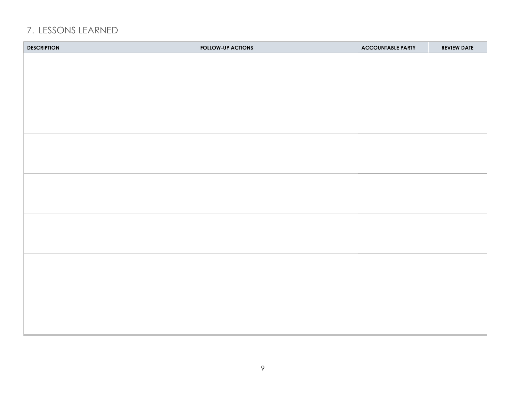#### 7. LESSONS LEARNED

| <b>DESCRIPTION</b> | <b>FOLLOW-UP ACTIONS</b> | <b>ACCOUNTABLE PARTY</b> | <b>REVIEW DATE</b> |
|--------------------|--------------------------|--------------------------|--------------------|
|                    |                          |                          |                    |
|                    |                          |                          |                    |
|                    |                          |                          |                    |
|                    |                          |                          |                    |
|                    |                          |                          |                    |
|                    |                          |                          |                    |
|                    |                          |                          |                    |
|                    |                          |                          |                    |
|                    |                          |                          |                    |
|                    |                          |                          |                    |
|                    |                          |                          |                    |
|                    |                          |                          |                    |
|                    |                          |                          |                    |
|                    |                          |                          |                    |
|                    |                          |                          |                    |
|                    |                          |                          |                    |
|                    |                          |                          |                    |
|                    |                          |                          |                    |
|                    |                          |                          |                    |
|                    |                          |                          |                    |
|                    |                          |                          |                    |
|                    |                          |                          |                    |
|                    |                          |                          |                    |
|                    |                          |                          |                    |
|                    |                          |                          |                    |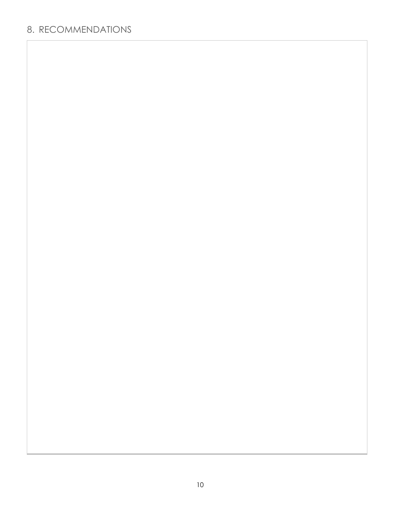#### 8. RECOMMENDATIONS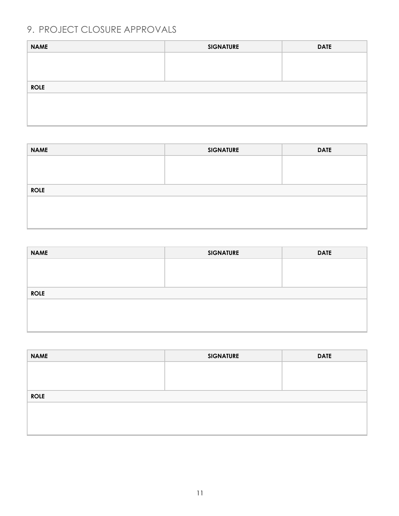### 9. PROJECT CLOSURE APPROVALS

| <b>NAME</b> | <b>SIGNATURE</b> | <b>DATE</b> |
|-------------|------------------|-------------|
|             |                  |             |
|             |                  |             |
|             |                  |             |
| <b>ROLE</b> |                  |             |
|             |                  |             |
|             |                  |             |
|             |                  |             |
|             |                  |             |

| <b>NAME</b> | <b>SIGNATURE</b> | <b>DATE</b> |
|-------------|------------------|-------------|
|             |                  |             |
|             |                  |             |
|             |                  |             |
| <b>ROLE</b> |                  |             |
|             |                  |             |
|             |                  |             |
|             |                  |             |
|             |                  |             |

| <b>SIGNATURE</b> | <b>DATE</b> |
|------------------|-------------|
|                  |             |
|                  |             |
|                  |             |
|                  |             |
|                  |             |
|                  |             |
|                  |             |

| <b>SIGNATURE</b> | <b>DATE</b> |
|------------------|-------------|
|                  |             |
|                  |             |
|                  |             |
|                  |             |
|                  |             |
|                  |             |
|                  |             |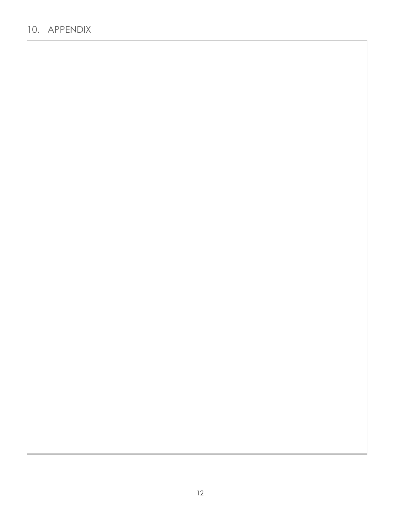#### 10. APPENDIX